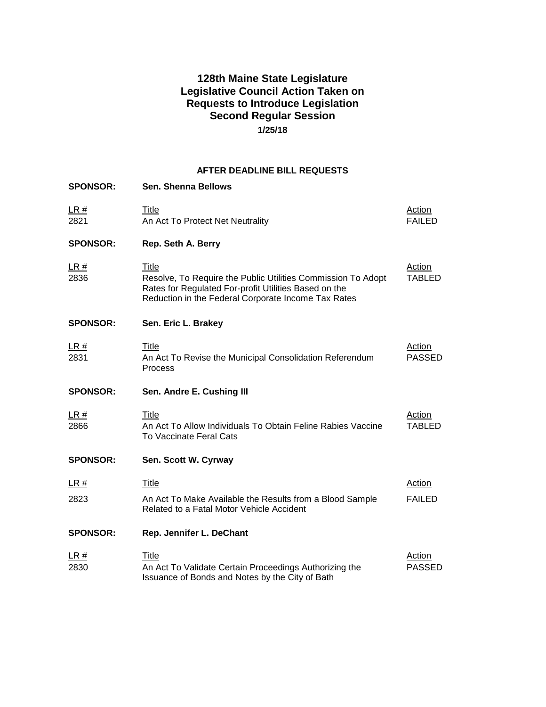# **128th Maine State Legislature Legislative Council Action Taken on Requests to Introduce Legislation Second Regular Session 1/25/18**

## **AFTER DEADLINE BILL REQUESTS**

| <b>SPONSOR:</b>     | <b>Sen. Shenna Bellows</b>                                                                                                                                                                   |                                |
|---------------------|----------------------------------------------------------------------------------------------------------------------------------------------------------------------------------------------|--------------------------------|
| LR#<br>2821         | Title<br>An Act To Protect Net Neutrality                                                                                                                                                    | <b>Action</b><br><b>FAILED</b> |
| <b>SPONSOR:</b>     | Rep. Seth A. Berry                                                                                                                                                                           |                                |
| LR#<br>2836         | <b>Title</b><br>Resolve, To Require the Public Utilities Commission To Adopt<br>Rates for Regulated For-profit Utilities Based on the<br>Reduction in the Federal Corporate Income Tax Rates | <b>Action</b><br><b>TABLED</b> |
| <b>SPONSOR:</b>     | Sen. Eric L. Brakey                                                                                                                                                                          |                                |
| <u>LR #</u><br>2831 | <b>Title</b><br>An Act To Revise the Municipal Consolidation Referendum<br>Process                                                                                                           | <b>Action</b><br><b>PASSED</b> |
| <b>SPONSOR:</b>     | Sen. Andre E. Cushing III                                                                                                                                                                    |                                |
| LR#<br>2866         | Title<br>An Act To Allow Individuals To Obtain Feline Rabies Vaccine<br><b>To Vaccinate Feral Cats</b>                                                                                       | Action<br><b>TABLED</b>        |
| <b>SPONSOR:</b>     | Sen. Scott W. Cyrway                                                                                                                                                                         |                                |
| LR#                 | <b>Title</b>                                                                                                                                                                                 | <b>Action</b>                  |
| 2823                | An Act To Make Available the Results from a Blood Sample<br>Related to a Fatal Motor Vehicle Accident                                                                                        | <b>FAILED</b>                  |
| <b>SPONSOR:</b>     | Rep. Jennifer L. DeChant                                                                                                                                                                     |                                |
| LR#<br>2830         | Title<br>An Act To Validate Certain Proceedings Authorizing the<br>Issuance of Bonds and Notes by the City of Bath                                                                           | Action<br><b>PASSED</b>        |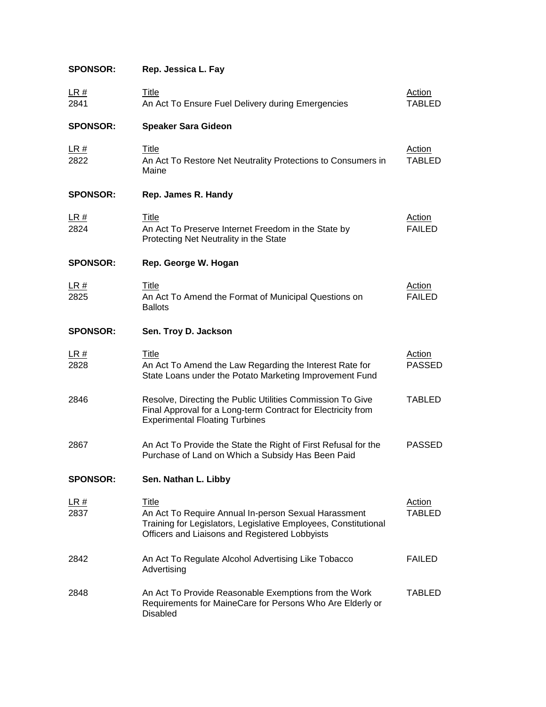| <b>SPONSOR:</b>     | Rep. Jessica L. Fay                                                                                                                                                                |                                |
|---------------------|------------------------------------------------------------------------------------------------------------------------------------------------------------------------------------|--------------------------------|
| <u>LR #</u><br>2841 | <b>Title</b><br>An Act To Ensure Fuel Delivery during Emergencies                                                                                                                  | <b>Action</b><br><b>TABLED</b> |
| <b>SPONSOR:</b>     | <b>Speaker Sara Gideon</b>                                                                                                                                                         |                                |
| <u>LR #</u><br>2822 | <b>Title</b><br>An Act To Restore Net Neutrality Protections to Consumers in<br>Maine                                                                                              | Action<br><b>TABLED</b>        |
| <b>SPONSOR:</b>     | Rep. James R. Handy                                                                                                                                                                |                                |
| <u>LR #</u><br>2824 | Title<br>An Act To Preserve Internet Freedom in the State by<br>Protecting Net Neutrality in the State                                                                             | <b>Action</b><br><b>FAILED</b> |
| <b>SPONSOR:</b>     | Rep. George W. Hogan                                                                                                                                                               |                                |
| <u>LR #</u><br>2825 | Title<br>An Act To Amend the Format of Municipal Questions on<br><b>Ballots</b>                                                                                                    | Action<br><b>FAILED</b>        |
| <b>SPONSOR:</b>     | Sen. Troy D. Jackson                                                                                                                                                               |                                |
| <u>LR #</u><br>2828 | Title<br>An Act To Amend the Law Regarding the Interest Rate for<br>State Loans under the Potato Marketing Improvement Fund                                                        | <b>Action</b><br><b>PASSED</b> |
| 2846                | Resolve, Directing the Public Utilities Commission To Give<br>Final Approval for a Long-term Contract for Electricity from<br><b>Experimental Floating Turbines</b>                | <b>TABLED</b>                  |
| 2867                | An Act To Provide the State the Right of First Refusal for the<br>Purchase of Land on Which a Subsidy Has Been Paid                                                                | <b>PASSED</b>                  |
| <b>SPONSOR:</b>     | Sen. Nathan L. Libby                                                                                                                                                               |                                |
| <u>LR #</u><br>2837 | Title<br>An Act To Require Annual In-person Sexual Harassment<br>Training for Legislators, Legislative Employees, Constitutional<br>Officers and Liaisons and Registered Lobbyists | <b>Action</b><br><b>TABLED</b> |
| 2842                | An Act To Regulate Alcohol Advertising Like Tobacco<br>Advertising                                                                                                                 | <b>FAILED</b>                  |
| 2848                | An Act To Provide Reasonable Exemptions from the Work                                                                                                                              | TABLED                         |

2848 An Act To Provide Reasonable Exemptions from the Work Requirements for MaineCare for Persons Who Are Elderly or Disabled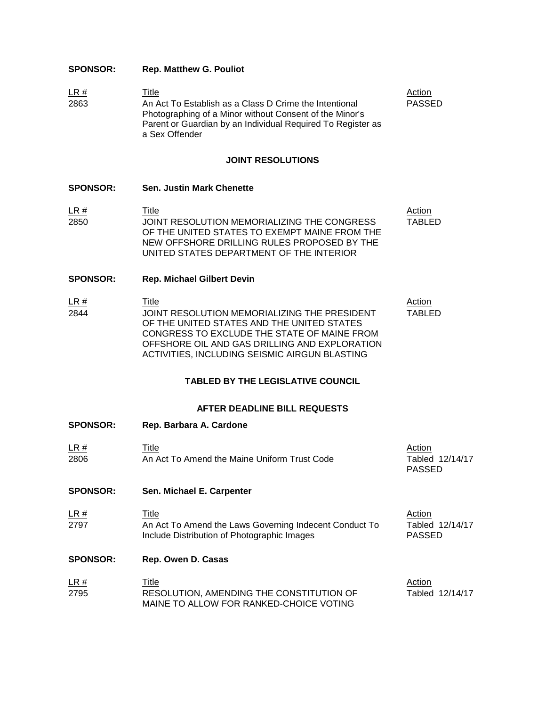## **SPONSOR: Rep. Matthew G. Pouliot**

**LR #** Title **The Title Action** 2863 An Act To Establish as a Class D Crime the Intentional Photographing of a Minor without Consent of the Minor's Parent or Guardian by an Individual Required To Register as a Sex Offender PASSED

#### **JOINT RESOLUTIONS**

- **SPONSOR: Sen. Justin Mark Chenette**
- **LR #** Title **The Title Action** 2850 JOINT RESOLUTION MEMORIALIZING THE CONGRESS OF THE UNITED STATES TO EXEMPT MAINE FROM THE NEW OFFSHORE DRILLING RULES PROPOSED BY THE UNITED STATES DEPARTMENT OF THE INTERIOR TABLED
- **SPONSOR: Rep. Michael Gilbert Devin**

**SPONSOR: Rep. Barbara A. Cardone**

**LR #** Title **The Title Action** 2844 JOINT RESOLUTION MEMORIALIZING THE PRESIDENT OF THE UNITED STATES AND THE UNITED STATES CONGRESS TO EXCLUDE THE STATE OF MAINE FROM OFFSHORE OIL AND GAS DRILLING AND EXPLORATION ACTIVITIES, INCLUDING SEISMIC AIRGUN BLASTING TABLED

### **TABLED BY THE LEGISLATIVE COUNCIL**

#### **AFTER DEADLINE BILL REQUESTS**

- **LR #** Title **The Title Action** 2806 An Act To Amend the Maine Uniform Trust Code Tabled 12/14/17 PASSED **SPONSOR: Sen. Michael E. Carpenter LR #** Title **The Title Action** 2797 An Act To Amend the Laws Governing Indecent Conduct To Include Distribution of Photographic Images Tabled 12/14/17 PASSED **SPONSOR: Rep. Owen D. Casas**
- **LR #** Title **The Title Action** 2795 RESOLUTION, AMENDING THE CONSTITUTION OF MAINE TO ALLOW FOR RANKED-CHOICE VOTING Tabled 12/14/17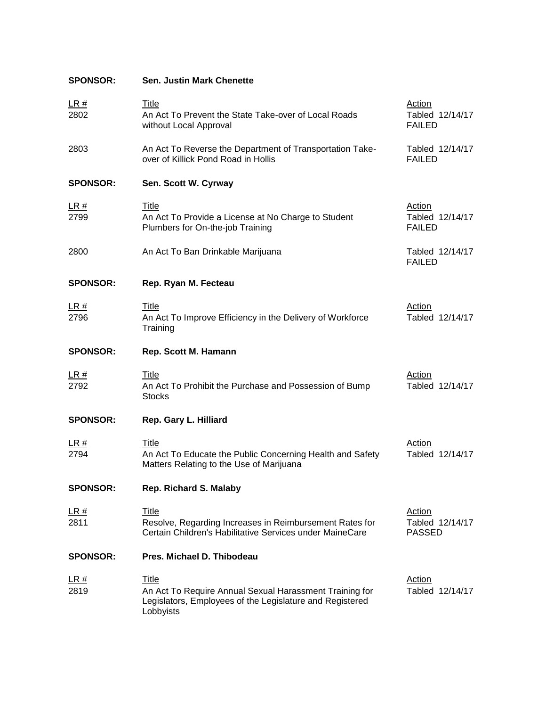|                     | <b>Sen. Justin Mark Chenette</b>                                                                                                    |                                                   |
|---------------------|-------------------------------------------------------------------------------------------------------------------------------------|---------------------------------------------------|
| <u>LR #</u><br>2802 | <u>Title</u><br>An Act To Prevent the State Take-over of Local Roads<br>without Local Approval                                      | <b>Action</b><br>Tabled 12/14/17<br><b>FAILED</b> |
| 2803                | An Act To Reverse the Department of Transportation Take-<br>over of Killick Pond Road in Hollis                                     | Tabled 12/14/17<br><b>FAILED</b>                  |
| <b>SPONSOR:</b>     | Sen. Scott W. Cyrway                                                                                                                |                                                   |
| <u>LR #</u><br>2799 | <b>Title</b><br>An Act To Provide a License at No Charge to Student<br>Plumbers for On-the-job Training                             | Action<br>Tabled 12/14/17<br><b>FAILED</b>        |
| 2800                | An Act To Ban Drinkable Marijuana                                                                                                   | Tabled 12/14/17<br><b>FAILED</b>                  |
| <b>SPONSOR:</b>     | Rep. Ryan M. Fecteau                                                                                                                |                                                   |
| <u>LR #</u><br>2796 | Title<br>An Act To Improve Efficiency in the Delivery of Workforce<br>Training                                                      | Action<br>Tabled 12/14/17                         |
| <b>SPONSOR:</b>     | Rep. Scott M. Hamann                                                                                                                |                                                   |
| <u>LR #</u><br>2792 | <b>Title</b><br>An Act To Prohibit the Purchase and Possession of Bump<br><b>Stocks</b>                                             | <b>Action</b><br>Tabled 12/14/17                  |
|                     |                                                                                                                                     |                                                   |
| <b>SPONSOR:</b>     | Rep. Gary L. Hilliard                                                                                                               |                                                   |
| <u>LR #</u><br>2794 | <b>Title</b><br>An Act To Educate the Public Concerning Health and Safety<br>Matters Relating to the Use of Marijuana               | <b>Action</b><br>Tabled 12/14/17                  |
| <b>SPONSOR:</b>     | <b>Rep. Richard S. Malaby</b>                                                                                                       |                                                   |
| <u>LR #</u><br>2811 | <u>Title</u><br>Resolve, Regarding Increases in Reimbursement Rates for<br>Certain Children's Habilitative Services under MaineCare | <b>Action</b><br>Tabled 12/14/17<br><b>PASSED</b> |
| <b>SPONSOR:</b>     | Pres. Michael D. Thibodeau                                                                                                          |                                                   |